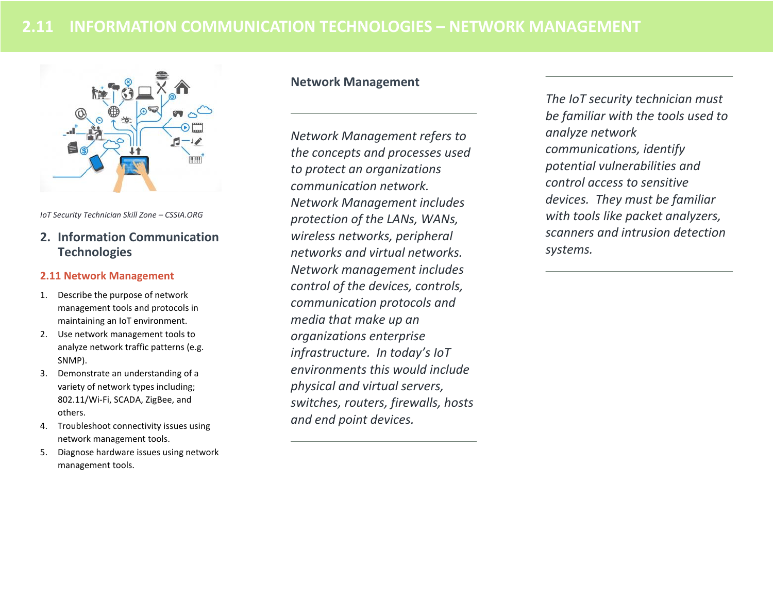

*IoT Security Technician Skill Zone – CSSIA.ORG*

# **2. Information Communication Technologies**

#### **2.11 Network Management**

- 1. Describe the purpose of network management tools and protocols in maintaining an IoT environment.
- 2. Use network management tools to analyze network traffic patterns (e.g. SNMP).
- 3. Demonstrate an understanding of a variety of network types including; 802.11/Wi-Fi, SCADA, ZigBee, and others.
- 4. Troubleshoot connectivity issues using network management tools.
- 5. Diagnose hardware issues using network management tools.

# **Network Management**

*Network Management refers to the concepts and processes used to protect an organizations communication network. Network Management includes protection of the LANs, WANs, wireless networks, peripheral networks and virtual networks. Network management includes control of the devices, controls, communication protocols and media that make up an organizations enterprise infrastructure. In today's IoT environments this would include physical and virtual servers, switches, routers, firewalls, hosts and end point devices.* 

*The IoT security technician must be familiar with the tools used to analyze network communications, identify potential vulnerabilities and control access to sensitive devices. They must be familiar with tools like packet analyzers, scanners and intrusion detection systems.*